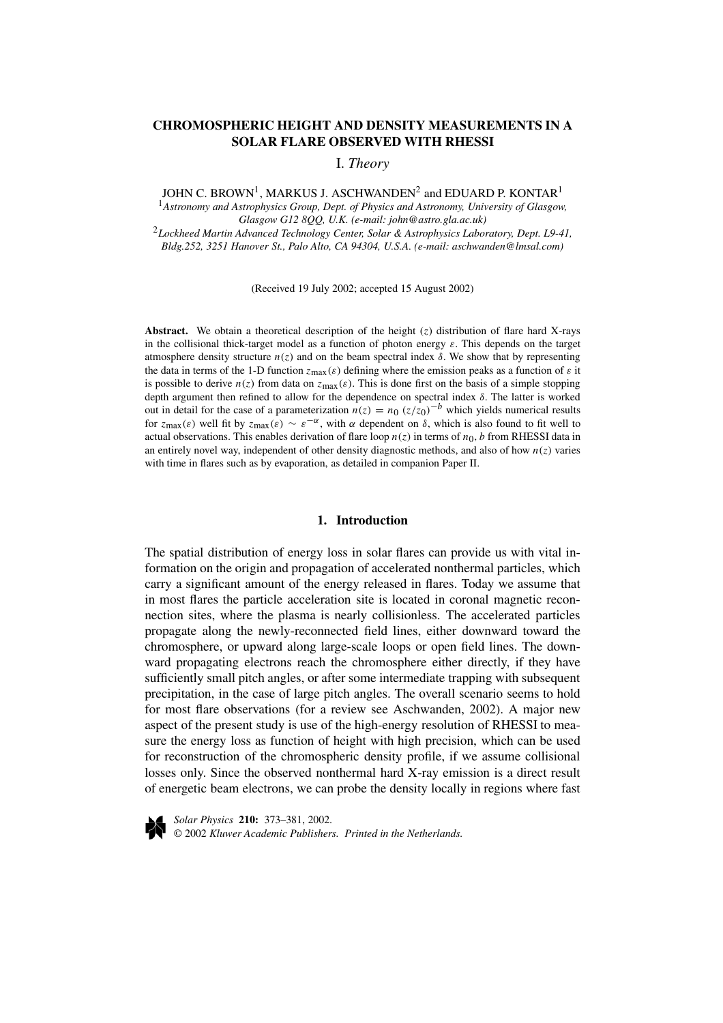# **CHROMOSPHERIC HEIGHT AND DENSITY MEASUREMENTS IN A SOLAR FLARE OBSERVED WITH RHESSI**

I. *Theory*

JOHN C. BROWN<sup>1</sup>, MARKUS J. ASCHWANDEN<sup>2</sup> and EDUARD P. KONTAR<sup>1</sup>

<sup>1</sup>*Astronomy and Astrophysics Group, Dept. of Physics and Astronomy, University of Glasgow, Glasgow G12 8QQ, U.K. (e-mail: john@astro.gla.ac.uk)*

<sup>2</sup>*Lockheed Martin Advanced Technology Center, Solar & Astrophysics Laboratory, Dept. L9-41, Bldg.252, 3251 Hanover St., Palo Alto, CA 94304, U.S.A. (e-mail: aschwanden@lmsal.com)*

(Received 19 July 2002; accepted 15 August 2002)

**Abstract.** We obtain a theoretical description of the height  $(z)$  distribution of flare hard X-rays in the collisional thick-target model as a function of photon energy  $\varepsilon$ . This depends on the target atmosphere density structure  $n(z)$  and on the beam spectral index *δ*. We show that by representing the data in terms of the 1-D function  $z_{\text{max}}(\varepsilon)$  defining where the emission peaks as a function of  $\varepsilon$  it is possible to derive  $n(z)$  from data on  $z_{\text{max}}(\varepsilon)$ . This is done first on the basis of a simple stopping depth argument then refined to allow for the dependence on spectral index *δ*. The latter is worked out in detail for the case of a parameterization  $n(z) = n_0 (z/z_0)^{-b}$  which yields numerical results for  $z_{\text{max}}(\varepsilon)$  well fit by  $z_{\text{max}}(\varepsilon) \sim \varepsilon^{-\alpha}$ , with  $\alpha$  dependent on  $\delta$ , which is also found to fit well to actual observations. This enables derivation of flare loop  $n(z)$  in terms of  $n_0$ , b from RHESSI data in an entirely novel way, independent of other density diagnostic methods, and also of how  $n(z)$  varies with time in flares such as by evaporation, as detailed in companion Paper II.

### **1. Introduction**

The spatial distribution of energy loss in solar flares can provide us with vital information on the origin and propagation of accelerated nonthermal particles, which carry a significant amount of the energy released in flares. Today we assume that in most flares the particle acceleration site is located in coronal magnetic reconnection sites, where the plasma is nearly collisionless. The accelerated particles propagate along the newly-reconnected field lines, either downward toward the chromosphere, or upward along large-scale loops or open field lines. The downward propagating electrons reach the chromosphere either directly, if they have sufficiently small pitch angles, or after some intermediate trapping with subsequent precipitation, in the case of large pitch angles. The overall scenario seems to hold for most flare observations (for a review see Aschwanden, 2002). A major new aspect of the present study is use of the high-energy resolution of RHESSI to measure the energy loss as function of height with high precision, which can be used for reconstruction of the chromospheric density profile, if we assume collisional losses only. Since the observed nonthermal hard X-ray emission is a direct result of energetic beam electrons, we can probe the density locally in regions where fast



*Solar Physics* **210:** 373–381, 2002. © 2002 *Kluwer Academic Publishers. Printed in the Netherlands.*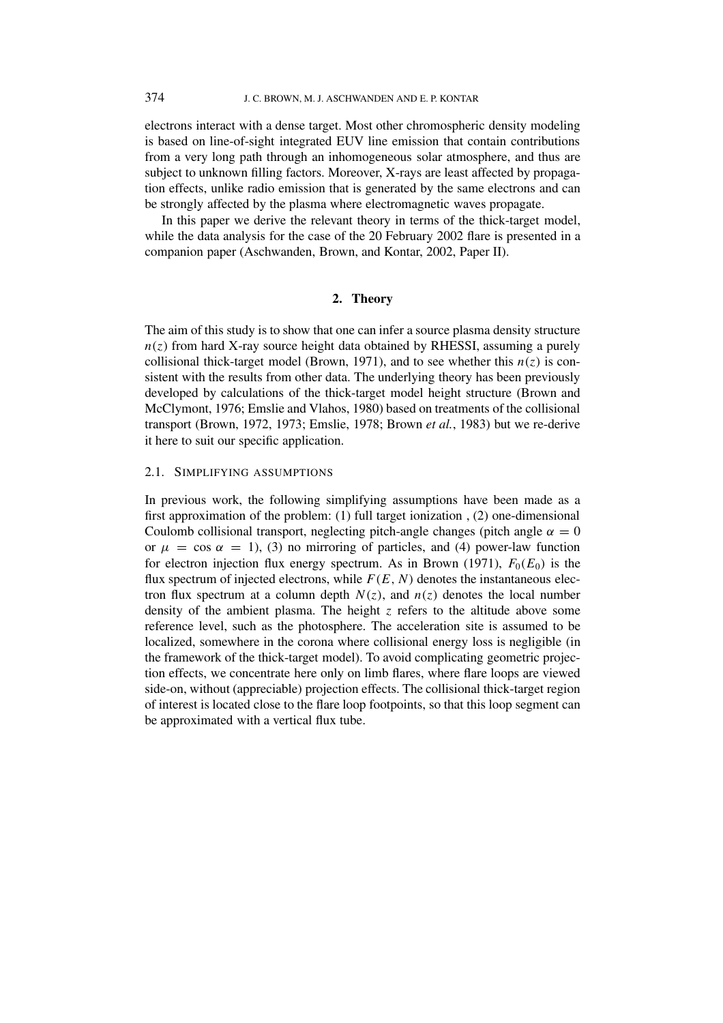electrons interact with a dense target. Most other chromospheric density modeling is based on line-of-sight integrated EUV line emission that contain contributions from a very long path through an inhomogeneous solar atmosphere, and thus are subject to unknown filling factors. Moreover, X-rays are least affected by propagation effects, unlike radio emission that is generated by the same electrons and can be strongly affected by the plasma where electromagnetic waves propagate.

In this paper we derive the relevant theory in terms of the thick-target model, while the data analysis for the case of the 20 February 2002 flare is presented in a companion paper (Aschwanden, Brown, and Kontar, 2002, Paper II).

# **2. Theory**

The aim of this study is to show that one can infer a source plasma density structure  $n(z)$  from hard X-ray source height data obtained by RHESSI, assuming a purely collisional thick-target model (Brown, 1971), and to see whether this  $n(z)$  is consistent with the results from other data. The underlying theory has been previously developed by calculations of the thick-target model height structure (Brown and McClymont, 1976; Emslie and Vlahos, 1980) based on treatments of the collisional transport (Brown, 1972, 1973; Emslie, 1978; Brown *et al.*, 1983) but we re-derive it here to suit our specific application.

## 2.1. SIMPLIFYING ASSUMPTIONS

In previous work, the following simplifying assumptions have been made as a first approximation of the problem: (1) full target ionization , (2) one-dimensional Coulomb collisional transport, neglecting pitch-angle changes (pitch angle  $\alpha = 0$ ) or  $\mu = \cos \alpha = 1$ , (3) no mirroring of particles, and (4) power-law function for electron injection flux energy spectrum. As in Brown (1971),  $F_0(E_0)$  is the flux spectrum of injected electrons, while  $F(E, N)$  denotes the instantaneous electron flux spectrum at a column depth  $N(z)$ , and  $n(z)$  denotes the local number density of the ambient plasma. The height *z* refers to the altitude above some reference level, such as the photosphere. The acceleration site is assumed to be localized, somewhere in the corona where collisional energy loss is negligible (in the framework of the thick-target model). To avoid complicating geometric projection effects, we concentrate here only on limb flares, where flare loops are viewed side-on, without (appreciable) projection effects. The collisional thick-target region of interest is located close to the flare loop footpoints, so that this loop segment can be approximated with a vertical flux tube.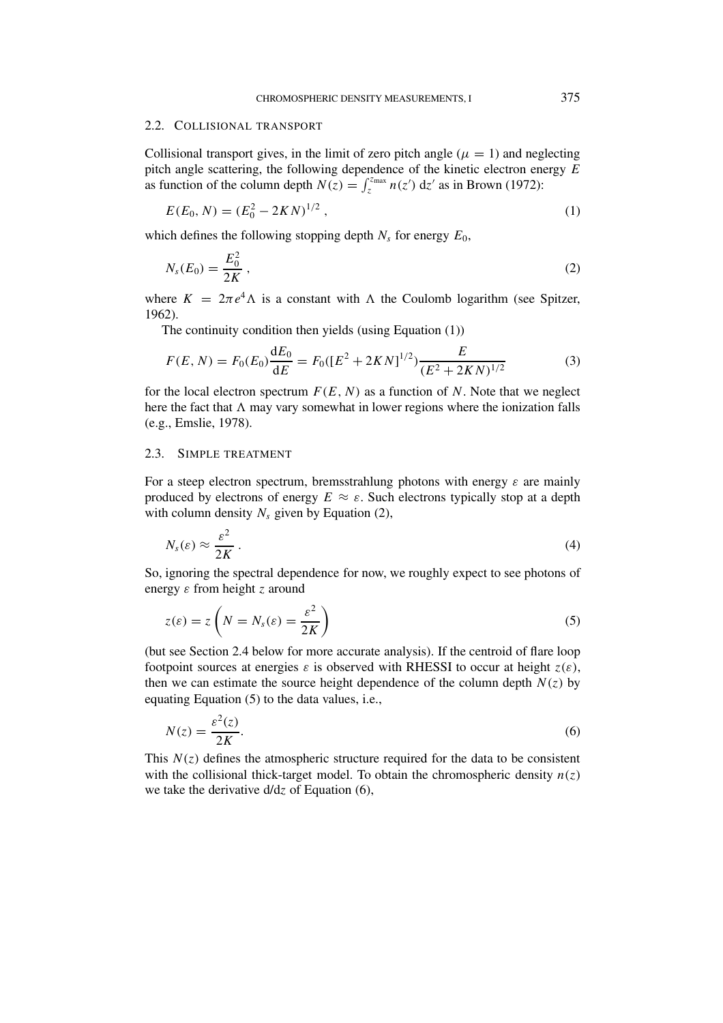#### 2.2. COLLISIONAL TRANSPORT

Collisional transport gives, in the limit of zero pitch angle  $(\mu = 1)$  and neglecting pitch angle scattering, the following dependence of the kinetic electron energy *E* as function of the column depth  $N(z) = \int_{z}^{z_{\text{max}}} n(z') dz'$  as in Brown (1972):

$$
E(E_0, N) = (E_0^2 - 2KN)^{1/2},
$$
\n(1)

which defines the following stopping depth  $N_s$  for energy  $E_0$ ,

$$
N_s(E_0) = \frac{E_0^2}{2K} \,,\tag{2}
$$

where  $K = 2\pi e^4 \Lambda$  is a constant with  $\Lambda$  the Coulomb logarithm (see Spitzer, 1962).

The continuity condition then yields (using Equation (1))

$$
F(E, N) = F_0(E_0) \frac{dE_0}{dE} = F_0([E^2 + 2KN]^{1/2}) \frac{E}{(E^2 + 2KN)^{1/2}}
$$
(3)

for the local electron spectrum  $F(E, N)$  as a function of *N*. Note that we neglect here the fact that  $\Lambda$  may vary somewhat in lower regions where the ionization falls (e.g., Emslie, 1978).

### 2.3. SIMPLE TREATMENT

For a steep electron spectrum, bremsstrahlung photons with energy *ε* are mainly produced by electrons of energy  $E \approx \varepsilon$ . Such electrons typically stop at a depth with column density  $N_s$  given by Equation (2),

$$
N_s(\varepsilon) \approx \frac{\varepsilon^2}{2K} \,. \tag{4}
$$

So, ignoring the spectral dependence for now, we roughly expect to see photons of energy *ε* from height *z* around

$$
z(\varepsilon) = z \left( N = N_s(\varepsilon) = \frac{\varepsilon^2}{2K} \right) \tag{5}
$$

(but see Section 2.4 below for more accurate analysis). If the centroid of flare loop footpoint sources at energies  $\varepsilon$  is observed with RHESSI to occur at height  $z(\varepsilon)$ , then we can estimate the source height dependence of the column depth  $N(z)$  by equating Equation (5) to the data values, i.e.,

$$
N(z) = \frac{\varepsilon^2(z)}{2K}.
$$
\n<sup>(6)</sup>

This  $N(z)$  defines the atmospheric structure required for the data to be consistent with the collisional thick-target model. To obtain the chromospheric density  $n(z)$ we take the derivative d/d*z* of Equation (6),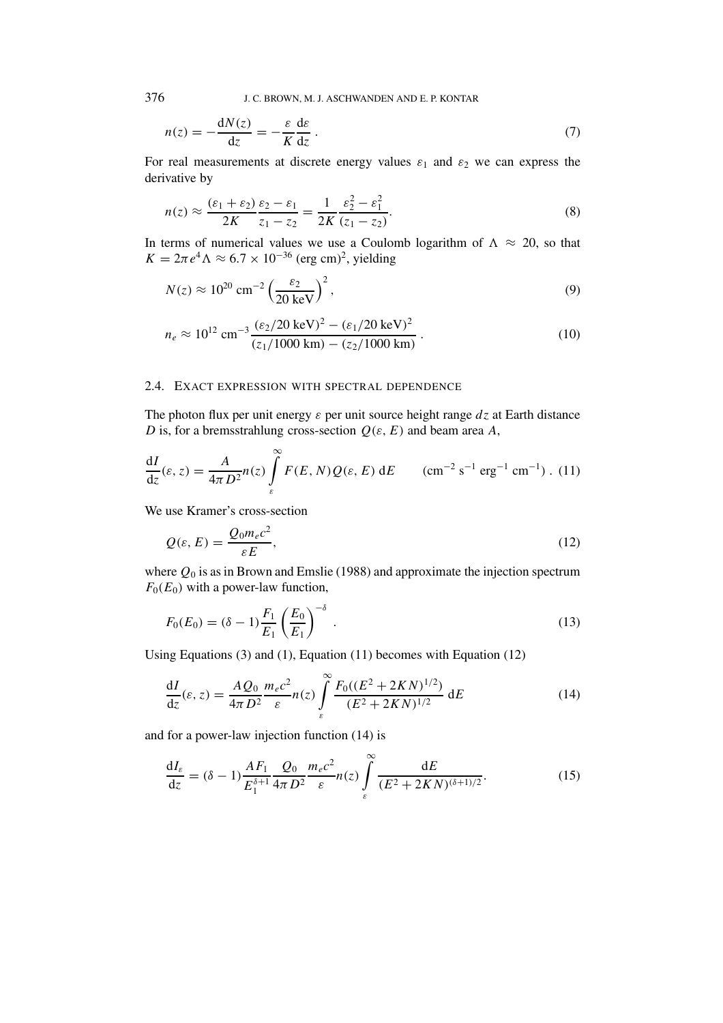376 J. C. BROWN, M. J. ASCHWANDEN AND E. P. KONTAR

$$
n(z) = -\frac{dN(z)}{dz} = -\frac{\varepsilon}{K} \frac{d\varepsilon}{dz}.
$$
 (7)

For real measurements at discrete energy values  $\varepsilon_1$  and  $\varepsilon_2$  we can express the derivative by

$$
n(z) \approx \frac{(\varepsilon_1 + \varepsilon_2)}{2K} \frac{\varepsilon_2 - \varepsilon_1}{z_1 - z_2} = \frac{1}{2K} \frac{\varepsilon_2^2 - \varepsilon_1^2}{(z_1 - z_2)}.
$$
 (8)

In terms of numerical values we use a Coulomb logarithm of  $\Lambda \approx 20$ , so that  $K = 2\pi e^4 \Lambda \approx 6.7 \times 10^{-36}$  (erg cm)<sup>2</sup>, yielding

$$
N(z) \approx 10^{20} \text{ cm}^{-2} \left(\frac{\varepsilon_2}{20 \text{ keV}}\right)^2,
$$
 (9)

$$
n_e \approx 10^{12} \text{ cm}^{-3} \frac{(\varepsilon_2/20 \text{ keV})^2 - (\varepsilon_1/20 \text{ keV})^2}{(z_1/1000 \text{ km}) - (z_2/1000 \text{ km})}.
$$
 (10)

## 2.4. EXACT EXPRESSION WITH SPECTRAL DEPENDENCE

The photon flux per unit energy *ε* per unit source height range *dz* at Earth distance *D* is, for a bremsstrahlung cross-section *Q(ε, E)* and beam area *A*,

$$
\frac{dI}{dz}(\varepsilon, z) = \frac{A}{4\pi D^2} n(z) \int_{\varepsilon}^{\infty} F(E, N) Q(\varepsilon, E) dE \qquad (\text{cm}^{-2} \text{ s}^{-1} \text{ erg}^{-1} \text{ cm}^{-1}). \tag{11}
$$

We use Kramer's cross-section

$$
Q(\varepsilon, E) = \frac{Q_0 m_e c^2}{\varepsilon E},
$$
\n(12)

where  $Q_0$  is as in Brown and Emslie (1988) and approximate the injection spectrum  $F_0(E_0)$  with a power-law function,

$$
F_0(E_0) = (\delta - 1) \frac{F_1}{E_1} \left(\frac{E_0}{E_1}\right)^{-\delta} \tag{13}
$$

Using Equations (3) and (1), Equation (11) becomes with Equation (12)

$$
\frac{dI}{dz}(\varepsilon, z) = \frac{AQ_0}{4\pi D^2} \frac{m_e c^2}{\varepsilon} n(z) \int_{\varepsilon}^{\infty} \frac{F_0((E^2 + 2KN)^{1/2})}{(E^2 + 2KN)^{1/2}} dE
$$
(14)

and for a power-law injection function (14) is

$$
\frac{dI_{\varepsilon}}{dz} = (\delta - 1) \frac{AF_1}{E_1^{\delta+1}} \frac{Q_0}{4\pi D^2} \frac{m_e c^2}{\varepsilon} n(z) \int_{\varepsilon}^{\infty} \frac{dE}{(E^2 + 2KN)^{(\delta+1)/2}}.
$$
(15)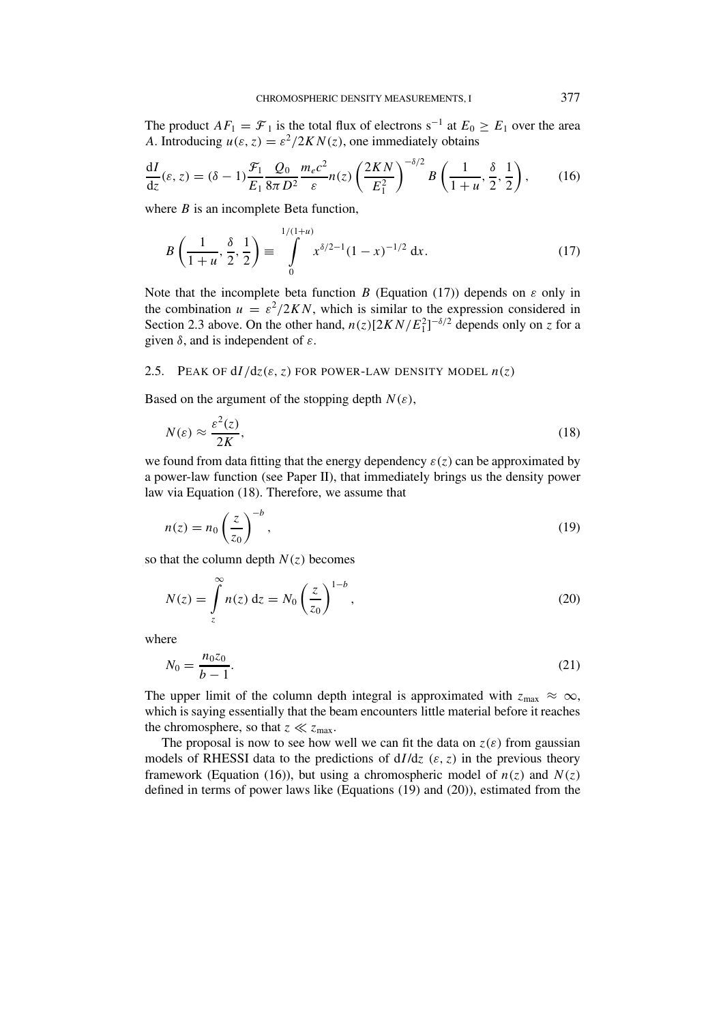The product  $AF_1 = \mathcal{F}_1$  is the total flux of electrons s<sup>-1</sup> at  $E_0 \ge E_1$  over the area *A*. Introducing  $u(\varepsilon, z) = \frac{\varepsilon^2}{2K}N(z)$ , one immediately obtains

$$
\frac{\mathrm{d}I}{\mathrm{d}z}(\varepsilon,z) = (\delta - 1)\frac{\mathcal{F}_1}{E_1}\frac{Q_0}{8\pi D^2}\frac{m_ec^2}{\varepsilon}n(z)\left(\frac{2KN}{E_1^2}\right)^{-\delta/2}B\left(\frac{1}{1+u},\frac{\delta}{2},\frac{1}{2}\right),\tag{16}
$$

where *B* is an incomplete Beta function,

$$
B\left(\frac{1}{1+u}, \frac{\delta}{2}, \frac{1}{2}\right) \equiv \int_{0}^{1/(1+u)} x^{\delta/2 - 1} (1-x)^{-1/2} dx.
$$
 (17)

Note that the incomplete beta function *B* (Equation (17)) depends on  $\varepsilon$  only in the combination  $u = \varepsilon^2/2KN$ , which is similar to the expression considered in Section 2.3 above. On the other hand,  $n(z)[2KN/E_1^2]^{-\delta/2}$  depends only on *z* for a given *δ*, and is independent of *ε*.

### 2.5. PEAK OF  $dI/dz(\varepsilon, z)$  FOR POWER-LAW DENSITY MODEL  $n(z)$

Based on the argument of the stopping depth  $N(\varepsilon)$ ,

$$
N(\varepsilon) \approx \frac{\varepsilon^2(z)}{2K},\tag{18}
$$

we found from data fitting that the energy dependency  $\varepsilon(z)$  can be approximated by a power-law function (see Paper II), that immediately brings us the density power law via Equation (18). Therefore, we assume that

$$
n(z) = n_0 \left(\frac{z}{z_0}\right)^{-b},\tag{19}
$$

so that the column depth  $N(z)$  becomes

$$
N(z) = \int_{z}^{\infty} n(z) dz = N_0 \left(\frac{z}{z_0}\right)^{1-b},
$$
\n(20)

where

$$
N_0 = \frac{n_0 z_0}{b - 1}.\tag{21}
$$

The upper limit of the column depth integral is approximated with  $z_{\text{max}} \approx \infty$ , which is saying essentially that the beam encounters little material before it reaches the chromosphere, so that  $z \ll z_{\text{max}}$ .

The proposal is now to see how well we can fit the data on  $z(\varepsilon)$  from gaussian models of RHESSI data to the predictions of d*I* /d*z (ε, z)* in the previous theory framework (Equation (16)), but using a chromospheric model of  $n(z)$  and  $N(z)$ defined in terms of power laws like (Equations (19) and (20)), estimated from the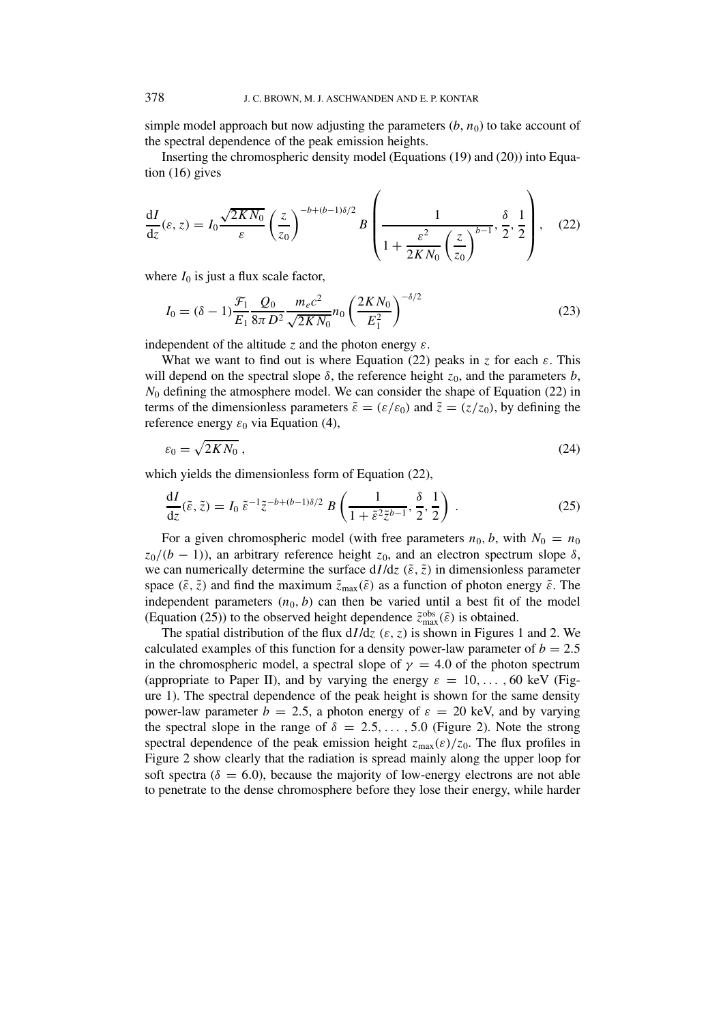simple model approach but now adjusting the parameters  $(b, n_0)$  to take account of the spectral dependence of the peak emission heights.

Inserting the chromospheric density model (Equations (19) and (20)) into Equation (16) gives

$$
\frac{dI}{dz}(\varepsilon, z) = I_0 \frac{\sqrt{2KN_0}}{\varepsilon} \left(\frac{z}{z_0}\right)^{-b + (b-1)\delta/2} B \left(\frac{1}{1 + \frac{\varepsilon^2}{2KN_0} \left(\frac{z}{z_0}\right)^{b-1}}, \frac{\delta}{2}, \frac{1}{2}\right), \quad (22)
$$

where  $I_0$  is just a flux scale factor,

$$
I_0 = (\delta - 1) \frac{\mathcal{F}_1}{E_1} \frac{Q_0}{8\pi D^2} \frac{m_e c^2}{\sqrt{2KN_0}} n_0 \left(\frac{2KN_0}{E_1^2}\right)^{-\delta/2}
$$
(23)

independent of the altitude *z* and the photon energy *ε*.

What we want to find out is where Equation (22) peaks in *z* for each  $\varepsilon$ . This will depend on the spectral slope  $\delta$ , the reference height  $z_0$ , and the parameters  $b$ ,  $N_0$  defining the atmosphere model. We can consider the shape of Equation (22) in terms of the dimensionless parameters  $\tilde{\varepsilon} = (\varepsilon/\varepsilon_0)$  and  $\tilde{z} = (z/z_0)$ , by defining the reference energy  $\varepsilon_0$  via Equation (4),

$$
\varepsilon_0 = \sqrt{2KN_0} \,,\tag{24}
$$

which yields the dimensionless form of Equation (22),

$$
\frac{dI}{dz}(\tilde{\varepsilon}, \tilde{z}) = I_0 \; \tilde{\varepsilon}^{-1} \tilde{z}^{-b + (b-1)\delta/2} \; B\left(\frac{1}{1 + \tilde{\varepsilon}^2 \tilde{z}^{b-1}}, \frac{\delta}{2}, \frac{1}{2}\right) \; . \tag{25}
$$

For a given chromospheric model (with free parameters  $n_0$ , b, with  $N_0 = n_0$  $z_0/(b-1)$ ), an arbitrary reference height  $z_0$ , and an electron spectrum slope  $\delta$ , we can numerically determine the surface  $dI/dz$  ( $\tilde{\varepsilon}$ ,  $\tilde{z}$ ) in dimensionless parameter space  $(\tilde{\varepsilon}, \tilde{z})$  and find the maximum  $\tilde{z}_{\text{max}}(\tilde{\varepsilon})$  as a function of photon energy  $\tilde{\varepsilon}$ . The independent parameters  $(n_0, b)$  can then be varied until a best fit of the model (Equation (25)) to the observed height dependence  $\tilde{z}^{\text{obs}}_{\text{max}}(\tilde{\varepsilon})$  is obtained.

The spatial distribution of the flux  $dI/dz$  ( $\varepsilon$ ,  $z$ ) is shown in Figures 1 and 2. We calculated examples of this function for a density power-law parameter of  $b = 2.5$ in the chromospheric model, a spectral slope of  $\gamma = 4.0$  of the photon spectrum (appropriate to Paper II), and by varying the energy  $\varepsilon = 10, \ldots, 60$  keV (Figure 1). The spectral dependence of the peak height is shown for the same density power-law parameter  $b = 2.5$ , a photon energy of  $\varepsilon = 20$  keV, and by varying the spectral slope in the range of  $\delta = 2.5, \ldots, 5.0$  (Figure 2). Note the strong spectral dependence of the peak emission height  $z_{\text{max}}(\varepsilon)/z_0$ . The flux profiles in Figure 2 show clearly that the radiation is spread mainly along the upper loop for soft spectra ( $\delta = 6.0$ ), because the majority of low-energy electrons are not able to penetrate to the dense chromosphere before they lose their energy, while harder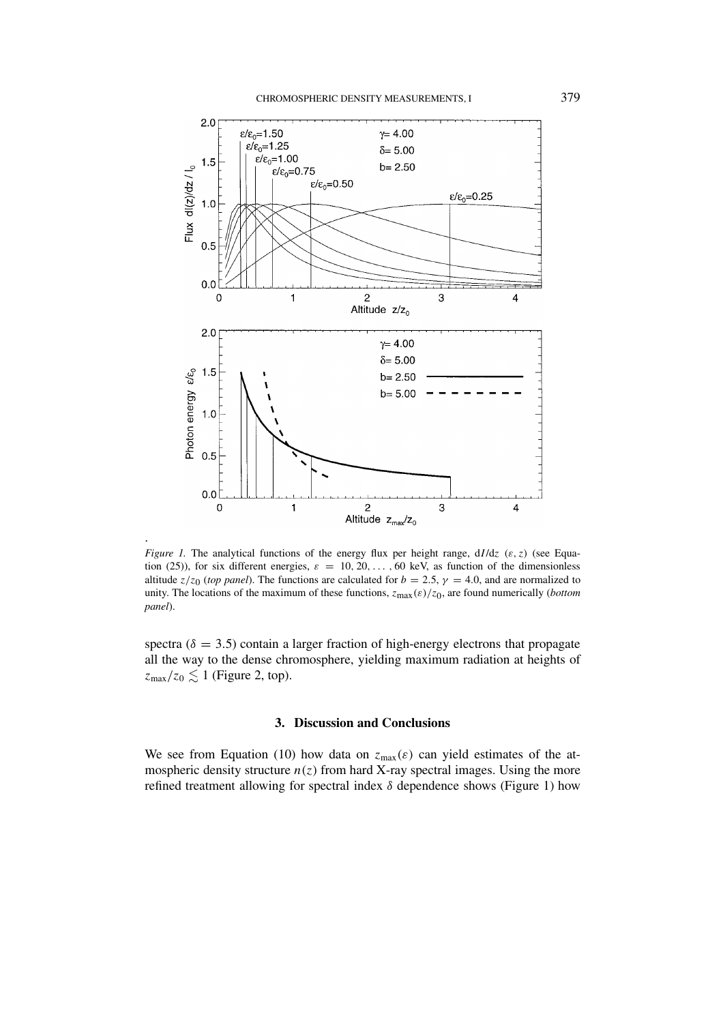

*Figure 1.* The analytical functions of the energy flux per height range, d*I* /d*z (ε, z)* (see Equation (25)), for six different energies,  $\varepsilon = 10, 20, \ldots, 60$  keV, as function of the dimensionless altitude  $z/z_0$  (*top panel*). The functions are calculated for  $b = 2.5$ ,  $\gamma = 4.0$ , and are normalized to unity. The locations of the maximum of these functions, *z*max*(ε)/z*0, are found numerically (*bottom panel*).

.

spectra ( $\delta = 3.5$ ) contain a larger fraction of high-energy electrons that propagate all the way to the dense chromosphere, yielding maximum radiation at heights of  $z_{\text{max}}/z_0 \lesssim 1$  (Figure 2, top).

### **3. Discussion and Conclusions**

We see from Equation (10) how data on  $z_{\text{max}}(\varepsilon)$  can yield estimates of the atmospheric density structure  $n(z)$  from hard X-ray spectral images. Using the more refined treatment allowing for spectral index *δ* dependence shows (Figure 1) how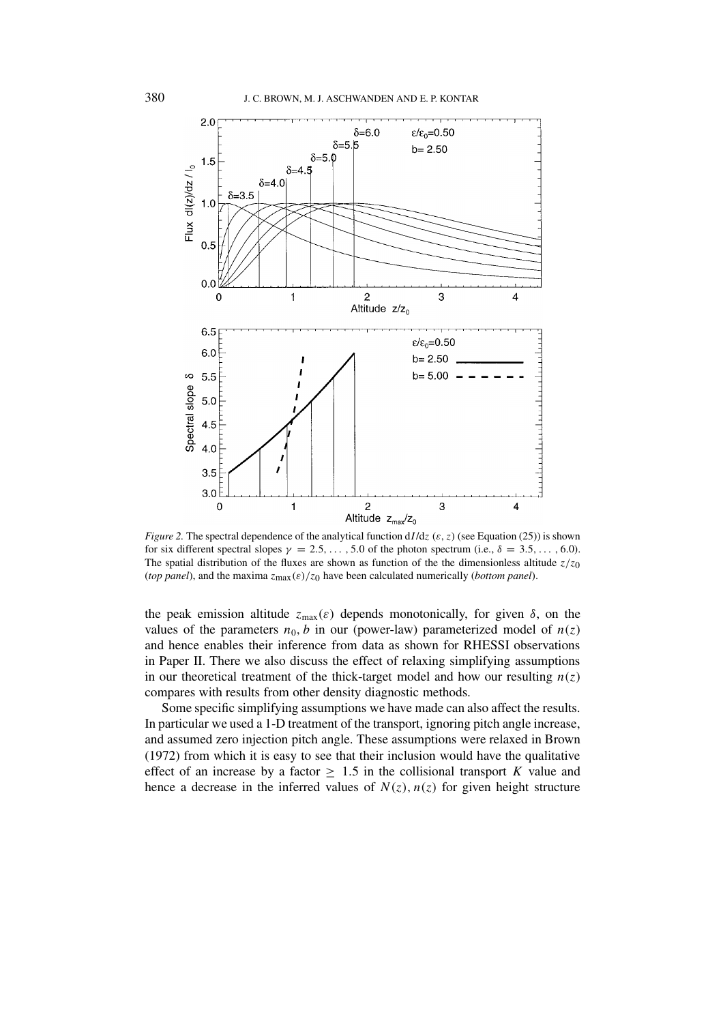

*Figure 2.* The spectral dependence of the analytical function d*I* /d*z (ε, z)* (see Equation (25)) is shown for six different spectral slopes  $\gamma = 2.5, \ldots, 5.0$  of the photon spectrum (i.e.,  $\delta = 3.5, \ldots, 6.0$ ). The spatial distribution of the fluxes are shown as function of the the dimensionless altitude  $z/z_0$ (*top panel*), and the maxima *z*max*(ε)/z*0 have been calculated numerically (*bottom panel*).

the peak emission altitude  $z_{\text{max}}(\varepsilon)$  depends monotonically, for given  $\delta$ , on the values of the parameters  $n_0$ , b in our (power-law) parameterized model of  $n(z)$ and hence enables their inference from data as shown for RHESSI observations in Paper II. There we also discuss the effect of relaxing simplifying assumptions in our theoretical treatment of the thick-target model and how our resulting  $n(z)$ compares with results from other density diagnostic methods.

Some specific simplifying assumptions we have made can also affect the results. In particular we used a 1-D treatment of the transport, ignoring pitch angle increase, and assumed zero injection pitch angle. These assumptions were relaxed in Brown (1972) from which it is easy to see that their inclusion would have the qualitative effect of an increase by a factor  $\geq 1.5$  in the collisional transport *K* value and hence a decrease in the inferred values of  $N(z)$ ,  $n(z)$  for given height structure